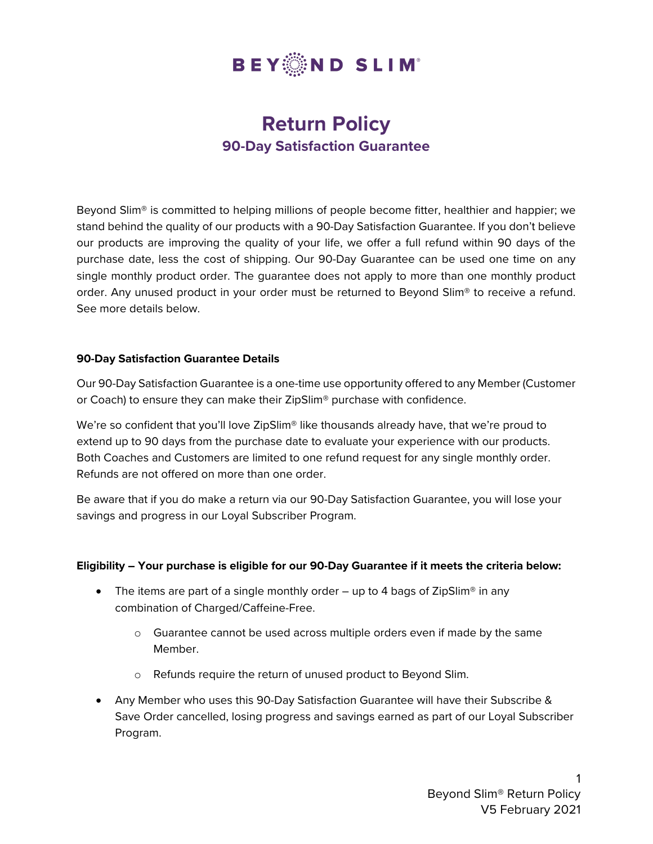

# **Return Policy 90-Day Satisfaction Guarantee**

Beyond Slim® is committed to helping millions of people become fitter, healthier and happier; we stand behind the quality of our products with a 90-Day Satisfaction Guarantee. If you don't believe our products are improving the quality of your life, we offer a full refund within 90 days of the purchase date, less the cost of shipping. Our 90-Day Guarantee can be used one time on any single monthly product order. The guarantee does not apply to more than one monthly product order. Any unused product in your order must be returned to Beyond Slim® to receive a refund. See more details below.

## **90-Day Satisfaction Guarantee Details**

Our 90-Day Satisfaction Guarantee is a one-time use opportunity offered to any Member (Customer or Coach) to ensure they can make their ZipSlim® purchase with confidence.

We're so confident that you'll love ZipSlim<sup>®</sup> like thousands already have, that we're proud to extend up to 90 days from the purchase date to evaluate your experience with our products. Both Coaches and Customers are limited to one refund request for any single monthly order. Refunds are not offered on more than one order.

Be aware that if you do make a return via our 90-Day Satisfaction Guarantee, you will lose your savings and progress in our Loyal Subscriber Program.

## **Eligibility – Your purchase is eligible for our 90-Day Guarantee if it meets the criteria below:**

- The items are part of a single monthly order  $-$  up to 4 bags of ZipSlim<sup>®</sup> in any combination of Charged/Caffeine-Free.
	- o Guarantee cannot be used across multiple orders even if made by the same Member.
	- o Refunds require the return of unused product to Beyond Slim.
- Any Member who uses this 90-Day Satisfaction Guarantee will have their Subscribe & Save Order cancelled, losing progress and savings earned as part of our Loyal Subscriber Program.